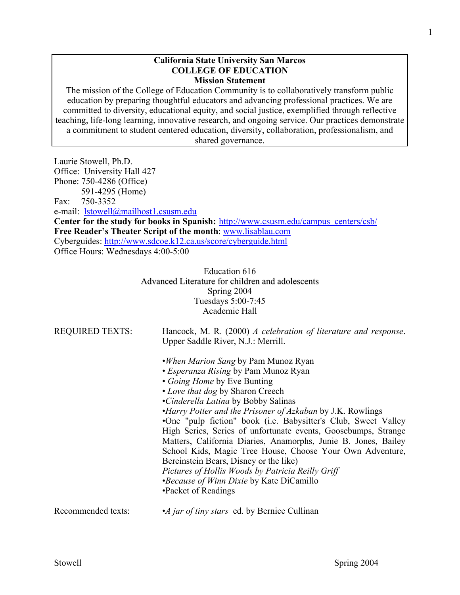#### **California State University San Marcos COLLEGE OF EDUCATION Mission Statement**

The mission of the College of Education Community is to collaboratively transform public education by preparing thoughtful educators and advancing professional practices. We are committed to diversity, educational equity, and social justice, exemplified through reflective teaching, life-long learning, innovative research, and ongoing service. Our practices demonstrate a commitment to student centered education, diversity, collaboration, professionalism, and shared governance.

Laurie Stowell, Ph.D. Office: University Hall 427 Phone: 750-4286 (Office) 591-4295 (Home) Fax: 750-3352 e-mail: lstowell@mailhost1.csusm.edu Center for the study for books in Spanish: http://www.csusm.edu/campus\_centers/csb/ **Free Reader's Theater Script of the month**: www.lisablau.com Cyberguides: http://www.sdcoe.k12.ca.us/score/cyberguide.html Office Hours: Wednesdays 4:00-5:00

> Education 616 Advanced Literature for children and adolescents Spring 2004 Tuesdays 5:00-7:45 Academic Hall

| <b>REQUIRED TEXTS:</b> | Hancock, M. R. (2000) A celebration of literature and response.<br>Upper Saddle River, N.J.: Merrill. |
|------------------------|-------------------------------------------------------------------------------------------------------|
|                        | . <i>When Marion Sang</i> by Pam Munoz Ryan                                                           |
|                        | • Esperanza Rising by Pam Munoz Ryan                                                                  |
|                        | • Going Home by Eve Bunting                                                                           |
|                        | • Love that dog by Sharon Creech                                                                      |
|                        | •Cinderella Latina by Bobby Salinas                                                                   |
|                        | <i>•Harry Potter and the Prisoner of Azkaban by J.K. Rowlings</i>                                     |
|                        | •One "pulp fiction" book (i.e. Babysitter's Club, Sweet Valley                                        |
|                        | High Series, Series of unfortunate events, Goosebumps, Strange                                        |
|                        | Matters, California Diaries, Anamorphs, Junie B. Jones, Bailey                                        |
|                        | School Kids, Magic Tree House, Choose Your Own Adventure,                                             |
|                        | Bereinstein Bears, Disney or the like)                                                                |
|                        | Pictures of Hollis Woods by Patricia Reilly Griff                                                     |
|                        | <i>•Because of Winn Dixie</i> by Kate DiCamillo                                                       |
|                        | •Packet of Readings                                                                                   |
| Recommended texts:     | •A jar of tiny stars ed. by Bernice Cullinan                                                          |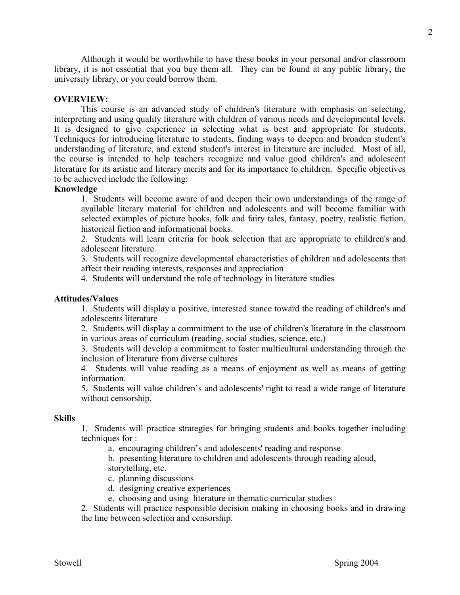Although it would be worthwhile to have these books in your personal and/or classroom library, it is not essential that you buy them all. They can be found at any public library, the university library, or you could borrow them.

## **OVERVIEW:**

 This course is an advanced study of children's literature with emphasis on selecting, interpreting and using quality literature with children of various needs and developmental levels. It is designed to give experience in selecting what is best and appropriate for students. Techniques for introducing literature to students, finding ways to deepen and broaden student's understanding of literature, and extend student's interest in literature are included. Most of all, the course is intended to help teachers recognize and value good children's and adolescent literature for its artistic and literary merits and for its importance to children. Specific objectives to be achieved include the following:

### **Knowledge**

1. Students will become aware of and deepen their own understandings of the range of available literary material for children and adolescents and will become familiar with selected examples of picture books, folk and fairy tales, fantasy, poetry, realistic fiction, historical fiction and informational books.

2. Students will learn criteria for book selection that are appropriate to children's and adolescent literature.

3. Students will recognize developmental characteristics of children and adolescents that affect their reading interests, responses and appreciation

4. Students will understand the role of technology in literature studies

## **Attitudes/Values**

1. Students will display a positive, interested stance toward the reading of children's and adolescents literature

2. Students will display a commitment to the use of children's literature in the classroom in various areas of curriculum (reading, social studies, science, etc.)

3. Students will develop a commitment to foster multicultural understanding through the inclusion of literature from diverse cultures

4. Students will value reading as a means of enjoyment as well as means of getting information.

5. Students will value children's and adolescents' right to read a wide range of literature without censorship.

#### **Skills**

1. Students will practice strategies for bringing students and books together including techniques for :

a. encouraging children's and adolescents' reading and response

 b. presenting literature to children and adolescents through reading aloud, storytelling, etc.

c. planning discussions

- d. designing creative experiences
- e. choosing and using literature in thematic curricular studies

2. Students will practice responsible decision making in choosing books and in drawing the line between selection and censorship.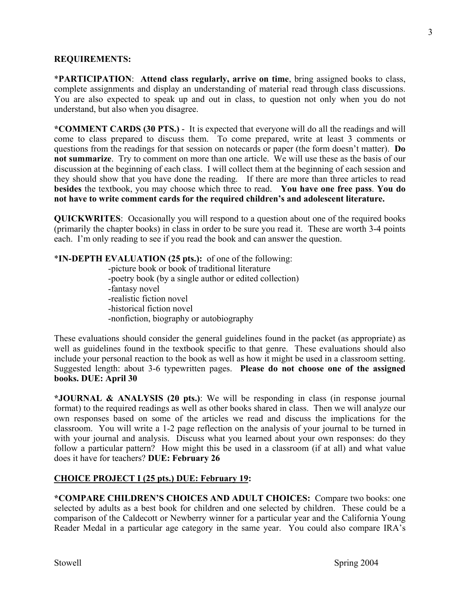## **REQUIREMENTS:**

\***PARTICIPATION**: **Attend class regularly, arrive on time**, bring assigned books to class, complete assignments and display an understanding of material read through class discussions. You are also expected to speak up and out in class, to question not only when you do not understand, but also when you disagree.

**\*COMMENT CARDS (30 PTS.)** - It is expected that everyone will do all the readings and will come to class prepared to discuss them. To come prepared, write at least 3 comments or questions from the readings for that session on notecards or paper (the form doesn't matter). **Do not summarize**. Try to comment on more than one article. We will use these as the basis of our discussion at the beginning of each class. I will collect them at the beginning of each session and they should show that you have done the reading. If there are more than three articles to read **besides** the textbook, you may choose which three to read. **You have one free pass**. **You do not have to write comment cards for the required children's and adolescent literature.** 

**QUICKWRITES**: Occasionally you will respond to a question about one of the required books (primarily the chapter books) in class in order to be sure you read it. These are worth 3-4 points each. I'm only reading to see if you read the book and can answer the question.

# \***IN-DEPTH EVALUATION (25 pts.):** of one of the following:

 -picture book or book of traditional literature -poetry book (by a single author or edited collection) -fantasy novel -realistic fiction novel -historical fiction novel -nonfiction, biography or autobiography

These evaluations should consider the general guidelines found in the packet (as appropriate) as well as guidelines found in the textbook specific to that genre. These evaluations should also include your personal reaction to the book as well as how it might be used in a classroom setting. Suggested length: about 3-6 typewritten pages. **Please do not choose one of the assigned books. DUE: April 30** 

**\*JOURNAL & ANALYSIS (20 pts.)**: We will be responding in class (in response journal format) to the required readings as well as other books shared in class. Then we will analyze our own responses based on some of the articles we read and discuss the implications for the classroom. You will write a 1-2 page reflection on the analysis of your journal to be turned in with your journal and analysis. Discuss what you learned about your own responses: do they follow a particular pattern? How might this be used in a classroom (if at all) and what value does it have for teachers? **DUE: February 26** 

## **CHOICE PROJECT I (25 pts.) DUE: February 19:**

**\*COMPARE CHILDREN'S CHOICES AND ADULT CHOICES:** Compare two books: one selected by adults as a best book for children and one selected by children. These could be a comparison of the Caldecott or Newberry winner for a particular year and the California Young Reader Medal in a particular age category in the same year. You could also compare IRA's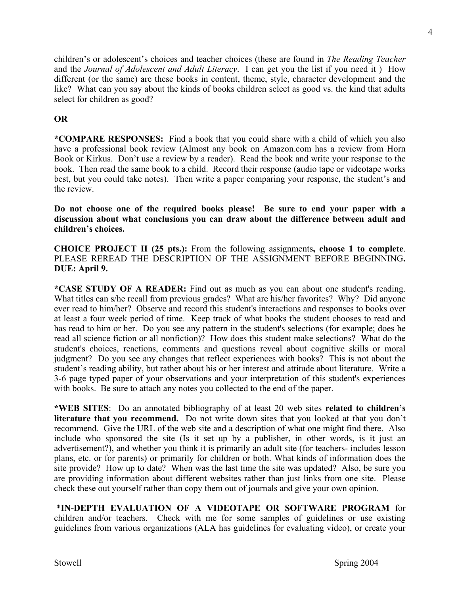children's or adolescent's choices and teacher choices (these are found in *The Reading Teacher* and the *Journal of Adolescent and Adult Literacy*. I can get you the list if you need it ) How different (or the same) are these books in content, theme, style, character development and the like? What can you say about the kinds of books children select as good vs. the kind that adults select for children as good?

# **OR**

**\*COMPARE RESPONSES:** Find a book that you could share with a child of which you also have a professional book review (Almost any book on Amazon.com has a review from Horn Book or Kirkus. Don't use a review by a reader).Read the book and write your response to the book. Then read the same book to a child. Record their response (audio tape or videotape works best, but you could take notes). Then write a paper comparing your response, the student's and the review.

**Do not choose one of the required books please! Be sure to end your paper with a discussion about what conclusions you can draw about the difference between adult and children's choices.** 

**CHOICE PROJECT II (25 pts.):** From the following assignments**, choose 1 to complete**. PLEASE REREAD THE DESCRIPTION OF THE ASSIGNMENT BEFORE BEGINNING**. DUE: April 9.** 

**\*CASE STUDY OF A READER:** Find out as much as you can about one student's reading. What titles can s/he recall from previous grades? What are his/her favorites? Why? Did anyone ever read to him/her? Observe and record this student's interactions and responses to books over at least a four week period of time. Keep track of what books the student chooses to read and has read to him or her. Do you see any pattern in the student's selections (for example; does he read all science fiction or all nonfiction)? How does this student make selections? What do the student's choices, reactions, comments and questions reveal about cognitive skills or moral judgment? Do you see any changes that reflect experiences with books? This is not about the student's reading ability, but rather about his or her interest and attitude about literature. Write a 3-6 page typed paper of your observations and your interpretation of this student's experiences with books. Be sure to attach any notes you collected to the end of the paper.

**\*WEB SITES**: Do an annotated bibliography of at least 20 web sites **related to children's literature that you recommend.** Do not write down sites that you looked at that you don't recommend. Give the URL of the web site and a description of what one might find there. Also include who sponsored the site (Is it set up by a publisher, in other words, is it just an advertisement?), and whether you think it is primarily an adult site (for teachers- includes lesson plans, etc. or for parents) or primarily for children or both. What kinds of information does the site provide? How up to date? When was the last time the site was updated? Also, be sure you are providing information about different websites rather than just links from one site. Please check these out yourself rather than copy them out of journals and give your own opinion.

 \***IN-DEPTH EVALUATION OF A VIDEOTAPE OR SOFTWARE PROGRAM** for children and/or teachers. Check with me for some samples of guidelines or use existing guidelines from various organizations (ALA has guidelines for evaluating video), or create your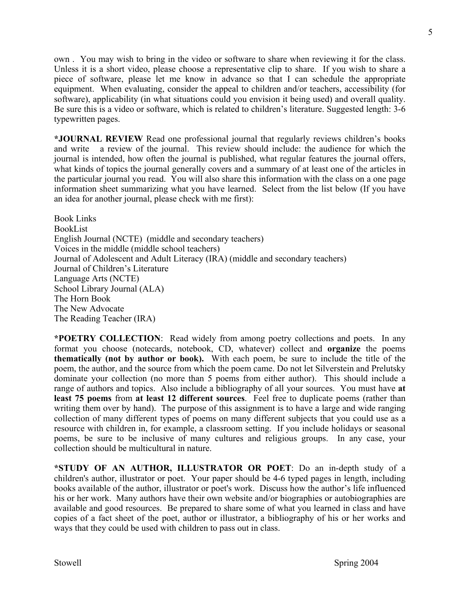own . You may wish to bring in the video or software to share when reviewing it for the class. Unless it is a short video, please choose a representative clip to share. If you wish to share a piece of software, please let me know in advance so that I can schedule the appropriate equipment. When evaluating, consider the appeal to children and/or teachers, accessibility (for software), applicability (in what situations could you envision it being used) and overall quality. Be sure this is a video or software, which is related to children's literature. Suggested length: 3-6 typewritten pages.

**\*JOURNAL REVIEW** Read one professional journal that regularly reviews children's books and write a review of the journal. This review should include: the audience for which the journal is intended, how often the journal is published, what regular features the journal offers, what kinds of topics the journal generally covers and a summary of at least one of the articles in the particular journal you read. You will also share this information with the class on a one page information sheet summarizing what you have learned. Select from the list below (If you have an idea for another journal, please check with me first):

Book Links BookList English Journal (NCTE) (middle and secondary teachers) Voices in the middle (middle school teachers) Journal of Adolescent and Adult Literacy (IRA) (middle and secondary teachers) Journal of Children's Literature Language Arts (NCTE) School Library Journal (ALA) The Horn Book The New Advocate The Reading Teacher (IRA)

**\*POETRY COLLECTION**: Read widely from among poetry collections and poets. In any format you choose (notecards, notebook, CD, whatever) collect and **organize** the poems **thematically (not by author or book).** With each poem, be sure to include the title of the poem, the author, and the source from which the poem came. Do not let Silverstein and Prelutsky dominate your collection (no more than 5 poems from either author). This should include a range of authors and topics. Also include a bibliography of all your sources. You must have **at least 75 poems** from **at least 12 different sources**. Feel free to duplicate poems (rather than writing them over by hand). The purpose of this assignment is to have a large and wide ranging collection of many different types of poems on many different subjects that you could use as a resource with children in, for example, a classroom setting. If you include holidays or seasonal poems, be sure to be inclusive of many cultures and religious groups. In any case, your collection should be multicultural in nature.

**\*STUDY OF AN AUTHOR, ILLUSTRATOR OR POET**: Do an in-depth study of a children's author, illustrator or poet. Your paper should be 4-6 typed pages in length, including books available of the author, illustrator or poet's work. Discuss how the author's life influenced his or her work. Many authors have their own website and/or biographies or autobiographies are available and good resources. Be prepared to share some of what you learned in class and have copies of a fact sheet of the poet, author or illustrator, a bibliography of his or her works and ways that they could be used with children to pass out in class.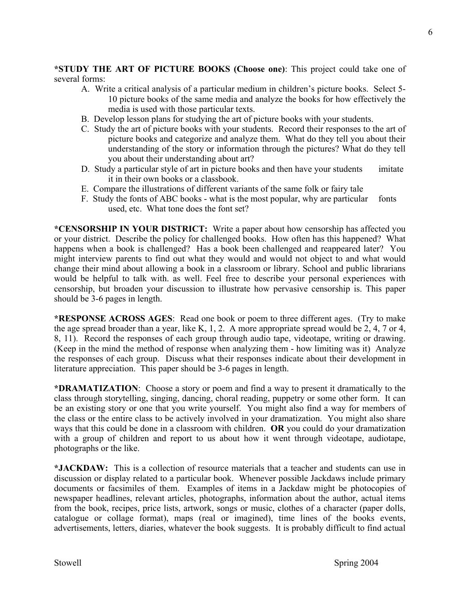**\*STUDY THE ART OF PICTURE BOOKS (Choose one)**: This project could take one of several forms:

- A. Write a critical analysis of a particular medium in children's picture books. Select 5- 10 picture books of the same media and analyze the books for how effectively the media is used with those particular texts.
- B. Develop lesson plans for studying the art of picture books with your students.
- C. Study the art of picture books with your students. Record their responses to the art of picture books and categorize and analyze them. What do they tell you about their understanding of the story or information through the pictures? What do they tell you about their understanding about art?
- D. Study a particular style of art in picture books and then have your students imitate it in their own books or a classbook.
- E. Compare the illustrations of different variants of the same folk or fairy tale
- F. Study the fonts of ABC books what is the most popular, why are particular fonts used, etc. What tone does the font set?

**\*CENSORSHIP IN YOUR DISTRICT:** Write a paper about how censorship has affected you or your district. Describe the policy for challenged books. How often has this happened? What happens when a book is challenged? Has a book been challenged and reappeared later? You might interview parents to find out what they would and would not object to and what would change their mind about allowing a book in a classroom or library. School and public librarians would be helpful to talk with. as well. Feel free to describe your personal experiences with censorship, but broaden your discussion to illustrate how pervasive censorship is. This paper should be 3-6 pages in length.

**\*RESPONSE ACROSS AGES**: Read one book or poem to three different ages. (Try to make the age spread broader than a year, like K, 1, 2. A more appropriate spread would be 2, 4, 7 or 4, 8, 11). Record the responses of each group through audio tape, videotape, writing or drawing. (Keep in the mind the method of response when analyzing them - how limiting was it) Analyze the responses of each group. Discuss what their responses indicate about their development in literature appreciation. This paper should be 3-6 pages in length.

**\*DRAMATIZATION**: Choose a story or poem and find a way to present it dramatically to the class through storytelling, singing, dancing, choral reading, puppetry or some other form. It can be an existing story or one that you write yourself. You might also find a way for members of the class or the entire class to be actively involved in your dramatization. You might also share ways that this could be done in a classroom with children. **OR** you could do your dramatization with a group of children and report to us about how it went through videotape, audiotape, photographs or the like.

**\*JACKDAW:** This is a collection of resource materials that a teacher and students can use in discussion or display related to a particular book. Whenever possible Jackdaws include primary documents or facsimiles of them. Examples of items in a Jackdaw might be photocopies of newspaper headlines, relevant articles, photographs, information about the author, actual items from the book, recipes, price lists, artwork, songs or music, clothes of a character (paper dolls, catalogue or collage format), maps (real or imagined), time lines of the books events, advertisements, letters, diaries, whatever the book suggests. It is probably difficult to find actual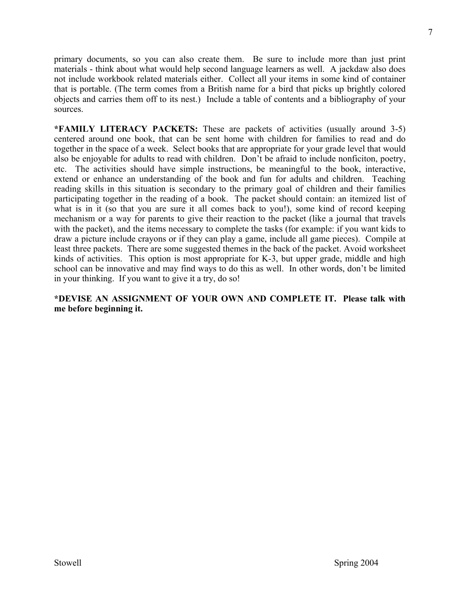primary documents, so you can also create them. Be sure to include more than just print materials - think about what would help second language learners as well. A jackdaw also does not include workbook related materials either. Collect all your items in some kind of container that is portable. (The term comes from a British name for a bird that picks up brightly colored objects and carries them off to its nest.) Include a table of contents and a bibliography of your sources.

**\*FAMILY LITERACY PACKETS:** These are packets of activities (usually around 3-5) centered around one book, that can be sent home with children for families to read and do together in the space of a week. Select books that are appropriate for your grade level that would also be enjoyable for adults to read with children. Don't be afraid to include nonficiton, poetry, etc. The activities should have simple instructions, be meaningful to the book, interactive, extend or enhance an understanding of the book and fun for adults and children. Teaching reading skills in this situation is secondary to the primary goal of children and their families participating together in the reading of a book. The packet should contain: an itemized list of what is in it (so that you are sure it all comes back to you!), some kind of record keeping mechanism or a way for parents to give their reaction to the packet (like a journal that travels with the packet), and the items necessary to complete the tasks (for example: if you want kids to draw a picture include crayons or if they can play a game, include all game pieces). Compile at least three packets. There are some suggested themes in the back of the packet. Avoid worksheet kinds of activities. This option is most appropriate for K-3, but upper grade, middle and high school can be innovative and may find ways to do this as well. In other words, don't be limited in your thinking. If you want to give it a try, do so!

# **\*DEVISE AN ASSIGNMENT OF YOUR OWN AND COMPLETE IT. Please talk with me before beginning it.**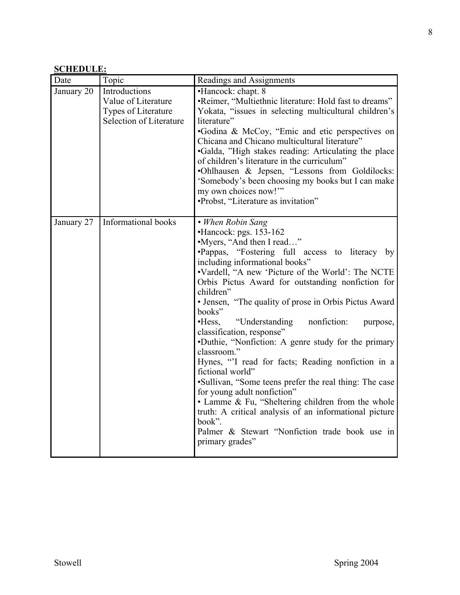# **SCHEDULE:**

| Date       | Topic                                                                                         | Readings and Assignments                                                                                                                                                                                                                                                                                                                                                                                                                                                                                                                                                                                                                                                                                                                                                                                                                                                                  |  |  |
|------------|-----------------------------------------------------------------------------------------------|-------------------------------------------------------------------------------------------------------------------------------------------------------------------------------------------------------------------------------------------------------------------------------------------------------------------------------------------------------------------------------------------------------------------------------------------------------------------------------------------------------------------------------------------------------------------------------------------------------------------------------------------------------------------------------------------------------------------------------------------------------------------------------------------------------------------------------------------------------------------------------------------|--|--|
| January 20 | Introductions<br>Value of Literature<br>Types of Literature<br><b>Selection of Literature</b> | •Hancock: chapt. 8<br>•Reimer, "Multiethnic literature: Hold fast to dreams"<br>Yokata, "issues in selecting multicultural children's<br>literature"<br>•Godina & McCoy, "Emic and etic perspectives on<br>Chicana and Chicano multicultural literature"<br>•Galda, "High stakes reading: Articulating the place<br>of children's literature in the curriculum"<br>.Ohlhausen & Jepsen, "Lessons from Goldilocks:<br>'Somebody's been choosing my books but I can make<br>my own choices now!"<br>•Probst, "Literature as invitation"                                                                                                                                                                                                                                                                                                                                                     |  |  |
| January 27 | Informational books                                                                           | • When Robin Sang<br>•Hancock: pgs. 153-162<br>•Myers, "And then I read"<br>•Pappas, "Fostering full access to literacy by<br>including informational books"<br>•Vardell, "A new 'Picture of the World': The NCTE<br>Orbis Pictus Award for outstanding nonfiction for<br>children"<br>• Jensen, "The quality of prose in Orbis Pictus Award"<br>books"<br>$\cdot$ Hess,<br>"Understanding"<br>nonfiction:<br>purpose,<br>classification, response"<br>•Duthie, "Nonfiction: A genre study for the primary<br>classroom."<br>Hynes, "I read for facts; Reading nonfiction in a<br>fictional world"<br>•Sullivan, "Some teens prefer the real thing: The case<br>for young adult nonfiction"<br>• Lamme & Fu, "Sheltering children from the whole<br>truth: A critical analysis of an informational picture<br>book".<br>Palmer & Stewart "Nonfiction trade book use in<br>primary grades" |  |  |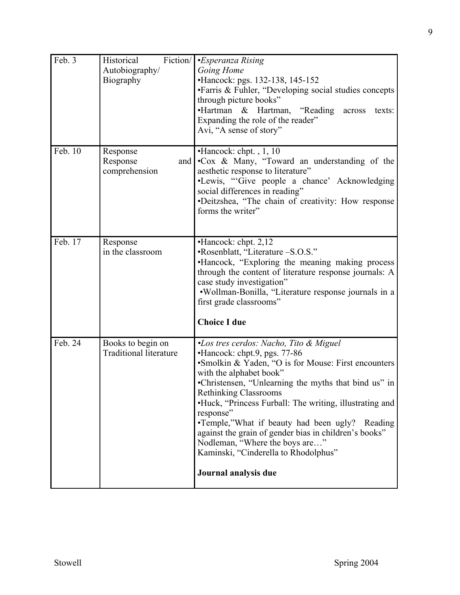| Feb. 3  | Fiction/<br>Historical<br>Autobiography/<br>Biography | <i>•Esperanza Rising</i><br>Going Home<br>•Hancock: pgs. 132-138, 145-152<br>•Farris & Fuhler, "Developing social studies concepts<br>through picture books"<br>•Hartman & Hartman, "Reading<br>across<br>texts:<br>Expanding the role of the reader"<br>Avi, "A sense of story"                                                                                                                                                                                                                                                      |  |  |
|---------|-------------------------------------------------------|---------------------------------------------------------------------------------------------------------------------------------------------------------------------------------------------------------------------------------------------------------------------------------------------------------------------------------------------------------------------------------------------------------------------------------------------------------------------------------------------------------------------------------------|--|--|
| Feb. 10 | Response<br>Response<br>and<br>comprehension          | •Hancock: chpt., 1, 10<br>•Cox & Many, "Toward an understanding of the<br>aesthetic response to literature"<br>•Lewis, "Give people a chance' Acknowledging<br>social differences in reading"<br>•Deitzshea, "The chain of creativity: How response<br>forms the writer"                                                                                                                                                                                                                                                              |  |  |
| Feb. 17 | Response<br>in the classroom                          | •Hancock: chpt. 2,12<br>•Rosenblatt, "Literature -S.O.S."<br>•Hancock, "Exploring the meaning making process<br>through the content of literature response journals: A<br>case study investigation"<br>•Wollman-Bonilla, "Literature response journals in a<br>first grade classrooms"<br><b>Choice I due</b>                                                                                                                                                                                                                         |  |  |
| Feb. 24 | Books to begin on<br><b>Traditional literature</b>    | •Los tres cerdos: Nacho, Tito & Miguel<br>•Hancock: chpt.9, pgs. 77-86<br>•Smolkin & Yaden, "O is for Mouse: First encounters<br>with the alphabet book"<br>•Christensen, "Unlearning the myths that bind us" in<br><b>Rethinking Classrooms</b><br>•Huck, "Princess Furball: The writing, illustrating and<br>response"<br>•Temple,"What if beauty had been ugly? Reading<br>against the grain of gender bias in children's books"<br>Nodleman, "Where the boys are"<br>Kaminski, "Cinderella to Rhodolphus"<br>Journal analysis due |  |  |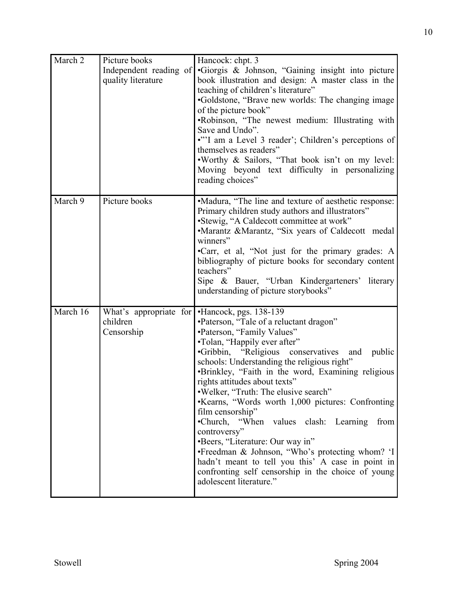| March 2  | Picture books<br>Independent reading of<br>quality literature | Hancock: chpt. 3<br>•Giorgis & Johnson, "Gaining insight into picture<br>book illustration and design: A master class in the<br>teaching of children's literature"<br>•Goldstone, "Brave new worlds: The changing image<br>of the picture book"<br>.Robinson, "The newest medium: Illustrating with<br>Save and Undo".<br>•"'I am a Level 3 reader'; Children's perceptions of<br>themselves as readers"<br>. Worthy & Sailors, "That book isn't on my level:<br>Moving beyond text difficulty in personalizing<br>reading choices"                                                                                                                                                                                               |  |  |
|----------|---------------------------------------------------------------|-----------------------------------------------------------------------------------------------------------------------------------------------------------------------------------------------------------------------------------------------------------------------------------------------------------------------------------------------------------------------------------------------------------------------------------------------------------------------------------------------------------------------------------------------------------------------------------------------------------------------------------------------------------------------------------------------------------------------------------|--|--|
| March 9  | Picture books                                                 | •Madura, "The line and texture of aesthetic response:<br>Primary children study authors and illustrators"<br>•Stewig, "A Caldecott committee at work"<br>•Marantz &Marantz, "Six years of Caldecott medal<br>winners"<br>•Carr, et al, "Not just for the primary grades: A<br>bibliography of picture books for secondary content<br>teachers"<br>Sipe & Bauer, "Urban Kindergarteners' literary<br>understanding of picture storybooks"                                                                                                                                                                                                                                                                                          |  |  |
| March 16 | What's appropriate for<br>children<br>Censorship              | •Hancock, pgs. 138-139<br>•Paterson, "Tale of a reluctant dragon"<br>•Paterson, "Family Values"<br>•Tolan, "Happily ever after"<br>·Gribbin, "Religious conservatives and public<br>schools: Understanding the religious right"<br>·Brinkley, "Faith in the word, Examining religious<br>rights attitudes about texts"<br>.Welker, "Truth: The elusive search"<br>Kearns, "Words worth 1,000 pictures: Confronting<br>film censorship"<br>•Church, "When values clash: Learning from<br>controversy"<br>•Beers, "Literature: Our way in"<br>•Freedman & Johnson, "Who's protecting whom? 'I<br>hadn't meant to tell you this' A case in point in<br>confronting self censorship in the choice of young<br>adolescent literature." |  |  |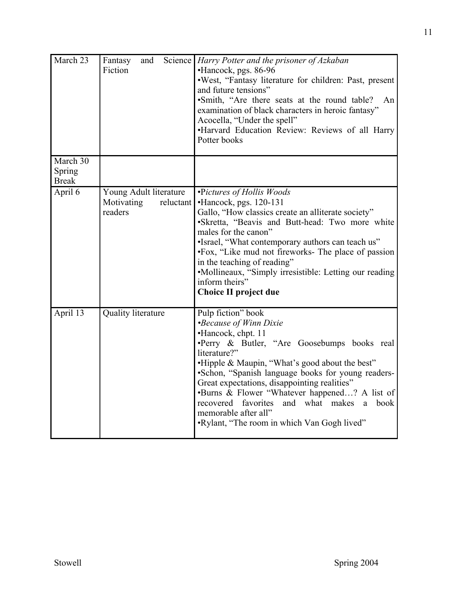| March 23                           | and<br>Fantasy<br>Fiction                                    | Science Harry Potter and the prisoner of Azkaban<br>•Hancock, pgs. 86-96<br>.West, "Fantasy literature for children: Past, present<br>and future tensions"<br>·Smith, "Are there seats at the round table?<br>An<br>examination of black characters in heroic fantasy"<br>Acocella, "Under the spell"<br>•Harvard Education Review: Reviews of all Harry<br>Potter books                                                                                                                  |  |
|------------------------------------|--------------------------------------------------------------|-------------------------------------------------------------------------------------------------------------------------------------------------------------------------------------------------------------------------------------------------------------------------------------------------------------------------------------------------------------------------------------------------------------------------------------------------------------------------------------------|--|
| March 30<br>Spring<br><b>Break</b> |                                                              |                                                                                                                                                                                                                                                                                                                                                                                                                                                                                           |  |
| April 6                            | Young Adult literature<br>Motivating<br>reluctant<br>readers | •Pictures of Hollis Woods<br>•Hancock, pgs. 120-131<br>Gallo, "How classics create an alliterate society"<br>•Skretta, "Beavis and Butt-head: Two more white<br>males for the canon"<br>•Israel, "What contemporary authors can teach us"<br>•Fox, "Like mud not fireworks- The place of passion<br>in the teaching of reading"<br>•Mollineaux, "Simply irresistible: Letting our reading<br>inform theirs"<br><b>Choice II project due</b>                                               |  |
| April 13                           | Quality literature                                           | Pulp fiction" book<br><i>•Because of Winn Dixie</i><br>•Hancock, chpt. 11<br>·Perry & Butler, "Are Goosebumps books real<br>literature?"<br>.Hipple & Maupin, "What's good about the best"<br>·Schon, "Spanish language books for young readers-<br>Great expectations, disappointing realities"<br>•Burns & Flower "Whatever happened? A list of<br>recovered favorites<br>and what makes<br>book<br><sub>a</sub><br>memorable after all"<br>.Rylant, "The room in which Van Gogh lived" |  |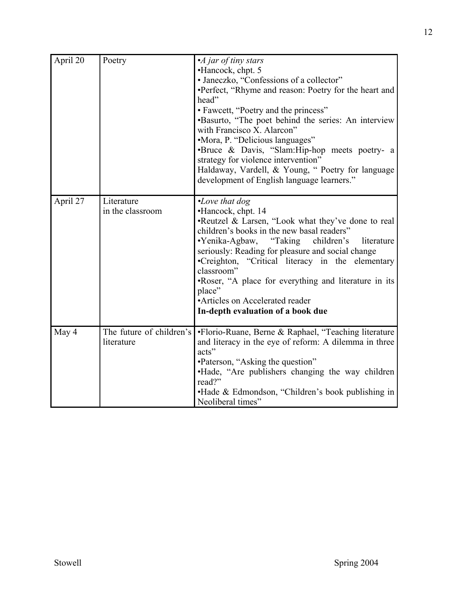| April 20 | Poetry                                 | •A jar of tiny stars<br>•Hancock, chpt. 5<br>• Janeczko, "Confessions of a collector"<br>•Perfect, "Rhyme and reason: Poetry for the heart and<br>head"<br>• Fawcett, "Poetry and the princess"<br>•Basurto, "The poet behind the series: An interview<br>with Francisco X. Alarcon"<br>•Mora, P. "Delicious languages"<br>•Bruce & Davis, "Slam:Hip-hop meets poetry- a<br>strategy for violence intervention"<br>Haldaway, Vardell, & Young, " Poetry for language<br>development of English language learners." |
|----------|----------------------------------------|--------------------------------------------------------------------------------------------------------------------------------------------------------------------------------------------------------------------------------------------------------------------------------------------------------------------------------------------------------------------------------------------------------------------------------------------------------------------------------------------------------------------|
| April 27 | Literature<br>in the classroom         | $\cdot$ Love that dog<br>•Hancock, chpt. 14<br>•Reutzel & Larsen, "Look what they've done to real<br>children's books in the new basal readers"<br>•Yenika-Agbaw, "Taking children's<br>literature<br>seriously: Reading for pleasure and social change<br>•Creighton, "Critical literacy in the elementary<br>classroom"<br>.Roser, "A place for everything and literature in its<br>place"<br>•Articles on Accelerated reader<br>In-depth evaluation of a book due                                               |
| May 4    | The future of children's<br>literature | ·Florio-Ruane, Berne & Raphael, "Teaching literature<br>and literacy in the eye of reform: A dilemma in three<br>acts"<br>•Paterson, "Asking the question"<br>. Hade, "Are publishers changing the way children<br>read?"<br>•Hade & Edmondson, "Children's book publishing in<br>Neoliberal times"                                                                                                                                                                                                                |